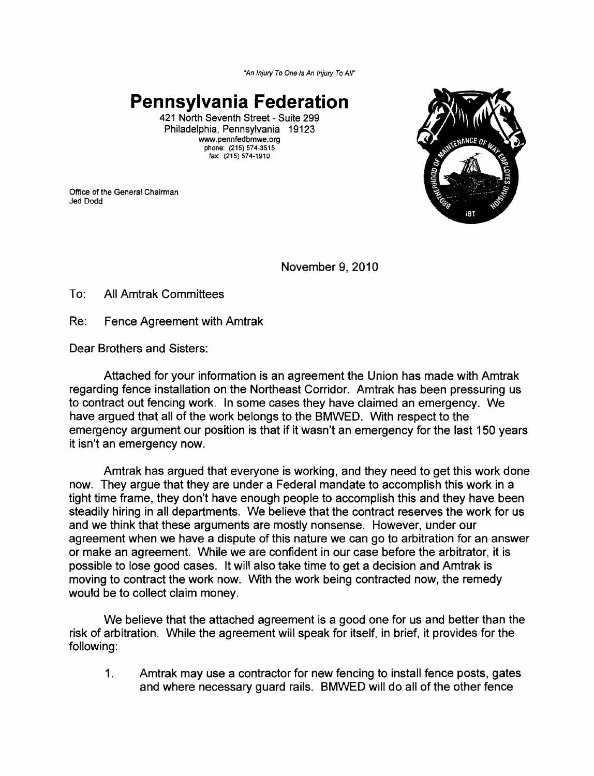*"An Injury To One* Is *An Injury To Air* 

**Pennsylvania Federation** 

421 North Seventh Street - Suite 299 Philadelphia, Pennsylvania 19123 [www.pennfedbmwe.org](http:www.pennfedbmwe.org) phone: (215) 574-3515 fax: (215) 574·1910

Office of the General Chairman Jed Dodd



November 9,2010

To: All Amtrak Committees

Re: Fence Agreement with Amtrak

Dear Brothers and Sisters:

Attached for your information is an agreement the Union has made with Amtrak regarding fence installation on the Northeast Corridor. Amtrak has been pressuring us to contract out fencing work. In some cases they have claimed an emergency. We have argued that all of the work belongs to the BMWED. With respect to the emergency argument our position is that if it wasn't an emergency for the last 150 years it isn't an emergency now.

Amtrak has argued that everyone is working, and they need to get this work done now. They argue that they are under a Federal mandate to accomplish this work in a tight time frame, they don't have enough people to accomplish this and they have been steadily hiring in all departments. We believe that the contract reserves the work for us and we think that these arguments are mostly nonsense. However, under our agreement when we have a dispute of this nature we can go to arbitration for an answer or make an agreement. While we are confident in our case before the arbitrator, it is possible to lose good cases. It will also take time to get a decision and Amtrak is moving to contract the work now. With the work being contracted now, the remedy would be to collect claim money.

We believe that the attached agreement is a good one for us and better than the risk of arbitration. While the agreement will speak for itself, in brief, it provides for the following:

1. Amtrak may use a contractor for new fencing to install fence posts, gates and where necessary guard rails. BMWED will do all of the other fence